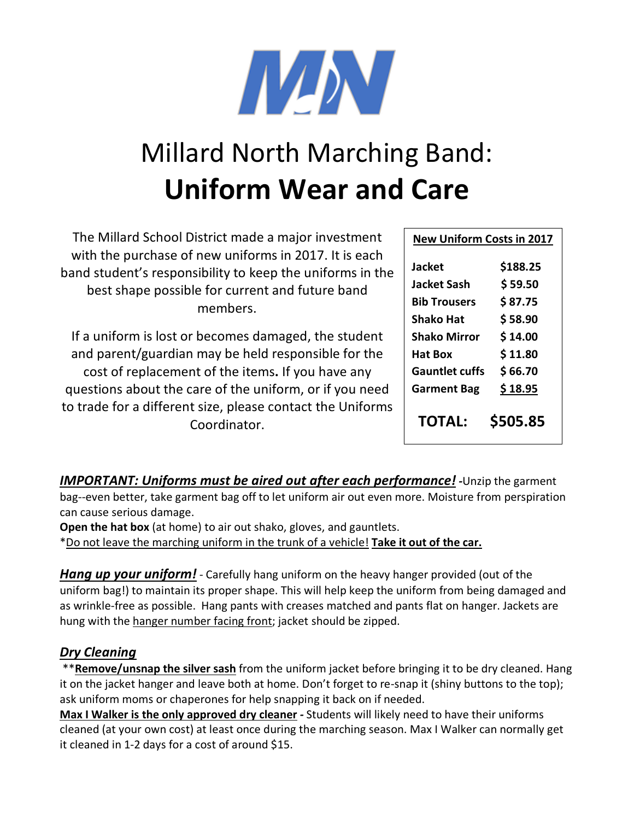

## Millard North Marching Band: **Uniform Wear and Care**

| The Millard School District made a major investment<br>with the purchase of new uniforms in 2017. It is each<br>band student's responsibility to keep the uniforms in the<br>best shape possible for current and future band<br>members. | <b>New Uniform Costs in 2017</b>                                               |                                           |
|------------------------------------------------------------------------------------------------------------------------------------------------------------------------------------------------------------------------------------------|--------------------------------------------------------------------------------|-------------------------------------------|
|                                                                                                                                                                                                                                          | <b>Jacket</b><br><b>Jacket Sash</b><br><b>Bib Trousers</b><br><b>Shako Hat</b> | \$188.25<br>\$59.50<br>\$87.75<br>\$58.90 |
| If a uniform is lost or becomes damaged, the student                                                                                                                                                                                     | <b>Shako Mirror</b>                                                            | \$14.00                                   |
| and parent/guardian may be held responsible for the                                                                                                                                                                                      | <b>Hat Box</b>                                                                 | \$11.80                                   |
| cost of replacement of the items. If you have any                                                                                                                                                                                        | <b>Gauntlet cuffs</b>                                                          | \$66.70                                   |
| questions about the care of the uniform, or if you need                                                                                                                                                                                  | <b>Garment Bag</b>                                                             | \$18.95                                   |
| to trade for a different size, please contact the Uniforms<br>Coordinator.                                                                                                                                                               | <b>TOTAL:</b>                                                                  | \$505.85                                  |

*IMPORTANT: Uniforms must be aired out after each performance! -*Unzip the garment bag--even better, take garment bag off to let uniform air out even more. Moisture from perspiration can cause serious damage.

**Open the hat box** (at home) to air out shako, gloves, and gauntlets.

\*Do not leave the marching uniform in the trunk of a vehicle! **Take it out of the car.**

*Hang up your uniform!* - Carefully hang uniform on the heavy hanger provided (out of the uniform bag!) to maintain its proper shape. This will help keep the uniform from being damaged and as wrinkle-free as possible. Hang pants with creases matched and pants flat on hanger. Jackets are hung with the hanger number facing front; jacket should be zipped.

## *Dry Cleaning*

\*\***Remove/unsnap the silver sash** from the uniform jacket before bringing it to be dry cleaned. Hang it on the jacket hanger and leave both at home. Don't forget to re-snap it (shiny buttons to the top); ask uniform moms or chaperones for help snapping it back on if needed.

**Max I Walker is the only approved dry cleaner** *-* Students will likely need to have their uniforms cleaned (at your own cost) at least once during the marching season. Max I Walker can normally get it cleaned in 1-2 days for a cost of around \$15.